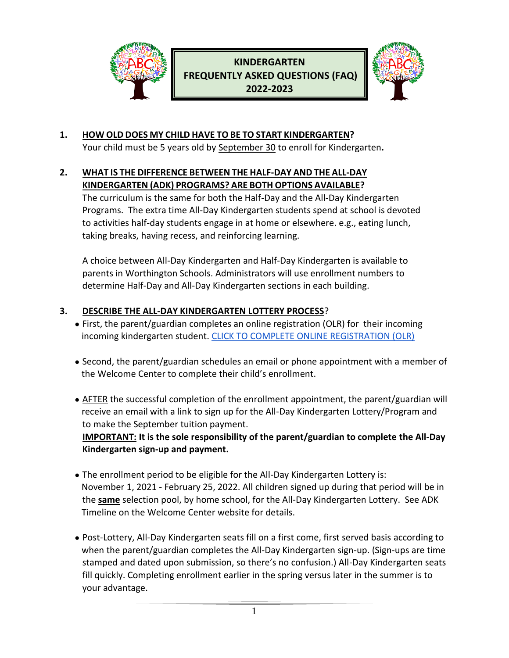

# **KINDERGARTEN FREQUENTLY ASKED QUESTIONS (FAQ) 2022-2023**



## **1. HOW OLD DOES MY CHILD HAVE TO BE TO START KINDERGARTEN?**

Your child must be 5 years old by September 30 to enroll for Kindergarten**.**

### **2. WHAT IS THE DIFFERENCE BETWEEN THE HALF-DAY AND THE ALL-DAY KINDERGARTEN (ADK) PROGRAMS? ARE BOTH OPTIONS AVAILABLE?**

The curriculum is the same for both the Half-Day and the All-Day Kindergarten Programs. The extra time All-Day Kindergarten students spend at school is devoted to activities half-day students engage in at home or elsewhere. e.g., eating lunch, taking breaks, having recess, and reinforcing learning.

A choice between All-Day Kindergarten and Half-Day Kindergarten is available to parents in Worthington Schools. Administrators will use enrollment numbers to determine Half-Day and All-Day Kindergarten sections in each building.

## **3. DESCRIBE THE ALL-DAY KINDERGARTEN LOTTERY PROCESS**?

- First, the parent/guardian completes an online registration (OLR) for their incoming incoming kindergarten student. [CLICK TO COMPLETE ONLINE REGISTRATION \(OLR\)](https://www.worthington.k12.oh.us/domain/746)
- Second, the parent/guardian schedules an email or phone appointment with a member of the Welcome Center to complete their child's enrollment.
- AFTER the successful completion of the enrollment appointment, the parent/guardian will receive an email with a link to sign up for the All-Day Kindergarten Lottery/Program and to make the September tuition payment.  **IMPORTANT: It is the sole responsibility of the parent/guardian to complete the All-Day Kindergarten sign-up and payment.**
- The enrollment period to be eligible for the All-Day Kindergarten Lottery is: November 1, 2021 - February 25, 2022. All children signed up during that period will be in the **same** selection pool, by home school, for the All-Day Kindergarten Lottery. See ADK Timeline on the Welcome Center website for details.
- Post-Lottery, All-Day Kindergarten seats fill on a first come, first served basis according to when the parent/guardian completes the All-Day Kindergarten sign-up. (Sign-ups are time stamped and dated upon submission, so there's no confusion.) All-Day Kindergarten seats fill quickly. Completing enrollment earlier in the spring versus later in the summer is to your advantage.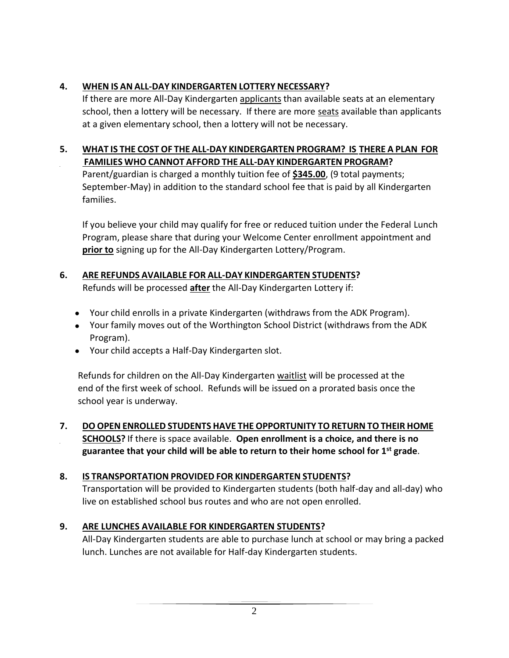## **4. WHEN IS AN ALL-DAY KINDERGARTEN LOTTERY NECESSARY?**

If there are more All-Day Kindergarten applicants than available seats at an elementary school, then a lottery will be necessary. If there are more seats available than applicants at a given elementary school, then a lottery will not be necessary.

#### **5. WHAT IS THE COST OF THE ALL-DAY KINDERGARTEN PROGRAM? IS THERE A PLAN FOR FAMILIES WHO CANNOT AFFORD THE ALL-DAY KINDERGARTEN PROGRAM?**

Parent/guardian is charged a monthly tuition fee of **\$345.00**, (9 total payments; September-May) in addition to the standard school fee that is paid by all Kindergarten families.

If you believe your child may qualify for free or reduced tuition under the Federal Lunch Program, please share that during your Welcome Center enrollment appointment and **prior to** signing up for the All-Day Kindergarten Lottery/Program.

## **6. ARE REFUNDS AVAILABLE FOR ALL-DAY KINDERGARTEN STUDENTS?**

Refunds will be processed **after** the All-Day Kindergarten Lottery if:

- Your child enrolls in a private Kindergarten (withdraws from the ADK Program).
- Your family moves out of the Worthington School District (withdraws from the ADK Program).
- Your child accepts a Half-Day Kindergarten slot.

 Refunds for children on the All-Day Kindergarten waitlist will be processed at the end of the first week of school. Refunds will be issued on a prorated basis once the school year is underway.

**7. DO OPEN ENROLLED STUDENTS HAVE THE OPPORTUNITY TO RETURN TO THEIR HOME SCHOOLS?** If there is space available. **Open enrollment is a choice, and there is no guarantee that your child will be able to return to their home school for 1st grade**.

### **8. IS TRANSPORTATION PROVIDED FOR KINDERGARTEN STUDENTS?**

Transportation will be provided to Kindergarten students (both half-day and all-day) who live on established school bus routes and who are not open enrolled.

### **9. ARE LUNCHES AVAILABLE FOR KINDERGARTEN STUDENTS?**

All-Day Kindergarten students are able to purchase lunch at school or may bring a packed lunch. Lunches are not available for Half-day Kindergarten students.